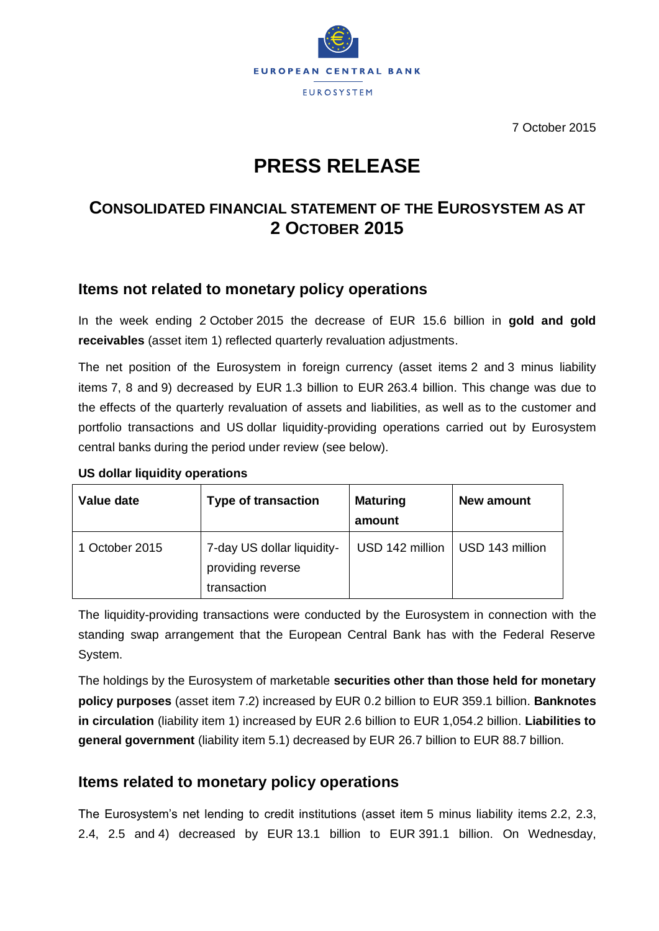

7 October 2015

# **PRESS RELEASE**

## **CONSOLIDATED FINANCIAL STATEMENT OF THE EUROSYSTEM AS AT 2 OCTOBER 2015**

#### **Items not related to monetary policy operations**

In the week ending 2 October 2015 the decrease of EUR 15.6 billion in **gold and gold receivables** (asset item 1) reflected quarterly revaluation adjustments.

The net position of the Eurosystem in foreign currency (asset items 2 and 3 minus liability items 7, 8 and 9) decreased by EUR 1.3 billion to EUR 263.4 billion. This change was due to the effects of the quarterly revaluation of assets and liabilities, as well as to the customer and portfolio transactions and US dollar liquidity-providing operations carried out by Eurosystem central banks during the period under review (see below).

| Value date     | <b>Type of transaction</b>                                     | <b>Maturing</b><br>amount | New amount      |
|----------------|----------------------------------------------------------------|---------------------------|-----------------|
| 1 October 2015 | 7-day US dollar liquidity-<br>providing reverse<br>transaction | USD 142 million           | USD 143 million |

#### **US dollar liquidity operations**

The liquidity-providing transactions were conducted by the Eurosystem in connection with the standing swap arrangement that the European Central Bank has with the Federal Reserve System.

The holdings by the Eurosystem of marketable **securities other than those held for monetary policy purposes** (asset item 7.2) increased by EUR 0.2 billion to EUR 359.1 billion. **Banknotes in circulation** (liability item 1) increased by EUR 2.6 billion to EUR 1,054.2 billion. **Liabilities to general government** (liability item 5.1) decreased by EUR 26.7 billion to EUR 88.7 billion.

## **Items related to monetary policy operations**

The Eurosystem's net lending to credit institutions (asset item 5 minus liability items 2.2, 2.3, 2.4, 2.5 and 4) decreased by EUR 13.1 billion to EUR 391.1 billion. On Wednesday,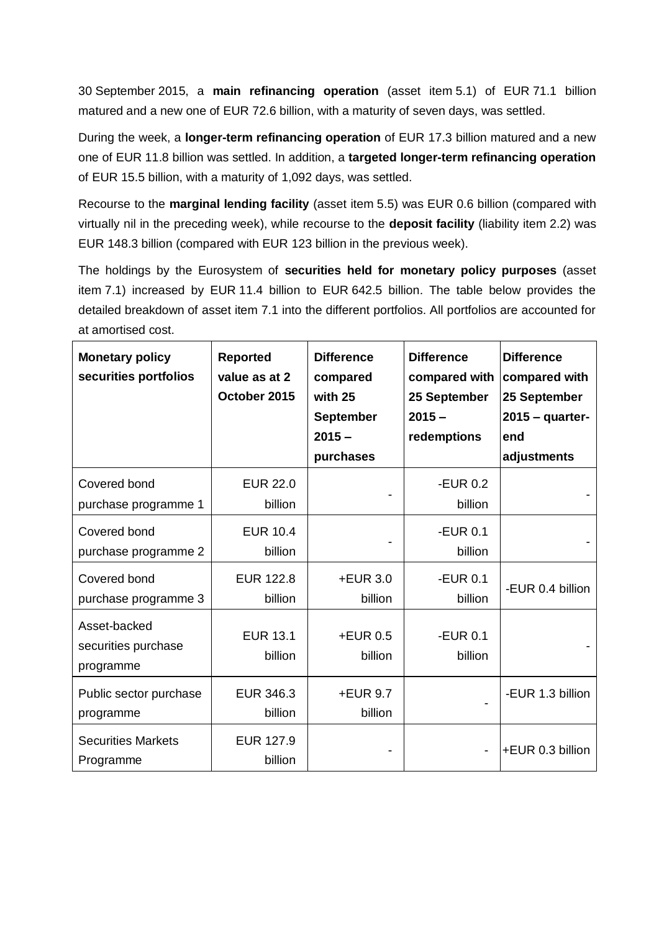30 September 2015, a **main refinancing operation** (asset item 5.1) of EUR 71.1 billion matured and a new one of EUR 72.6 billion, with a maturity of seven days, was settled.

During the week, a **longer-term refinancing operation** of EUR 17.3 billion matured and a new one of EUR 11.8 billion was settled. In addition, a **targeted longer-term refinancing operation**  of EUR 15.5 billion, with a maturity of 1,092 days, was settled.

Recourse to the **marginal lending facility** (asset item 5.5) was EUR 0.6 billion (compared with virtually nil in the preceding week), while recourse to the **deposit facility** (liability item 2.2) was EUR 148.3 billion (compared with EUR 123 billion in the previous week).

The holdings by the Eurosystem of **securities held for monetary policy purposes** (asset item 7.1) increased by EUR 11.4 billion to EUR 642.5 billion. The table below provides the detailed breakdown of asset item 7.1 into the different portfolios. All portfolios are accounted for at amortised cost.

| <b>Monetary policy</b><br>securities portfolios  | <b>Reported</b><br>value as at 2<br>October 2015 | <b>Difference</b><br>compared<br>with 25<br><b>September</b><br>$2015 -$<br>purchases | <b>Difference</b><br>compared with<br>25 September<br>$2015 -$<br>redemptions | <b>Difference</b><br>compared with<br>25 September<br>$2015 -$ quarter-<br>end<br>adjustments |
|--------------------------------------------------|--------------------------------------------------|---------------------------------------------------------------------------------------|-------------------------------------------------------------------------------|-----------------------------------------------------------------------------------------------|
| Covered bond<br>purchase programme 1             | <b>EUR 22.0</b><br>billion                       |                                                                                       | -EUR $0.2$<br>billion                                                         |                                                                                               |
| Covered bond<br>purchase programme 2             | <b>EUR 10.4</b><br>billion                       |                                                                                       | $-EUR$ 0.1<br>billion                                                         |                                                                                               |
| Covered bond<br>purchase programme 3             | <b>EUR 122.8</b><br>billion                      | $+EUR$ 3.0<br>billion                                                                 | $-EUR$ 0.1<br>billion                                                         | -EUR 0.4 billion                                                                              |
| Asset-backed<br>securities purchase<br>programme | <b>EUR 13.1</b><br>billion                       | +EUR 0.5<br>billion                                                                   | -EUR 0.1<br>billion                                                           |                                                                                               |
| Public sector purchase<br>programme              | EUR 346.3<br>billion                             | $+EUR$ 9.7<br>billion                                                                 |                                                                               | -EUR 1.3 billion                                                                              |
| <b>Securities Markets</b><br>Programme           | EUR 127.9<br>billion                             |                                                                                       |                                                                               | +EUR 0.3 billion                                                                              |